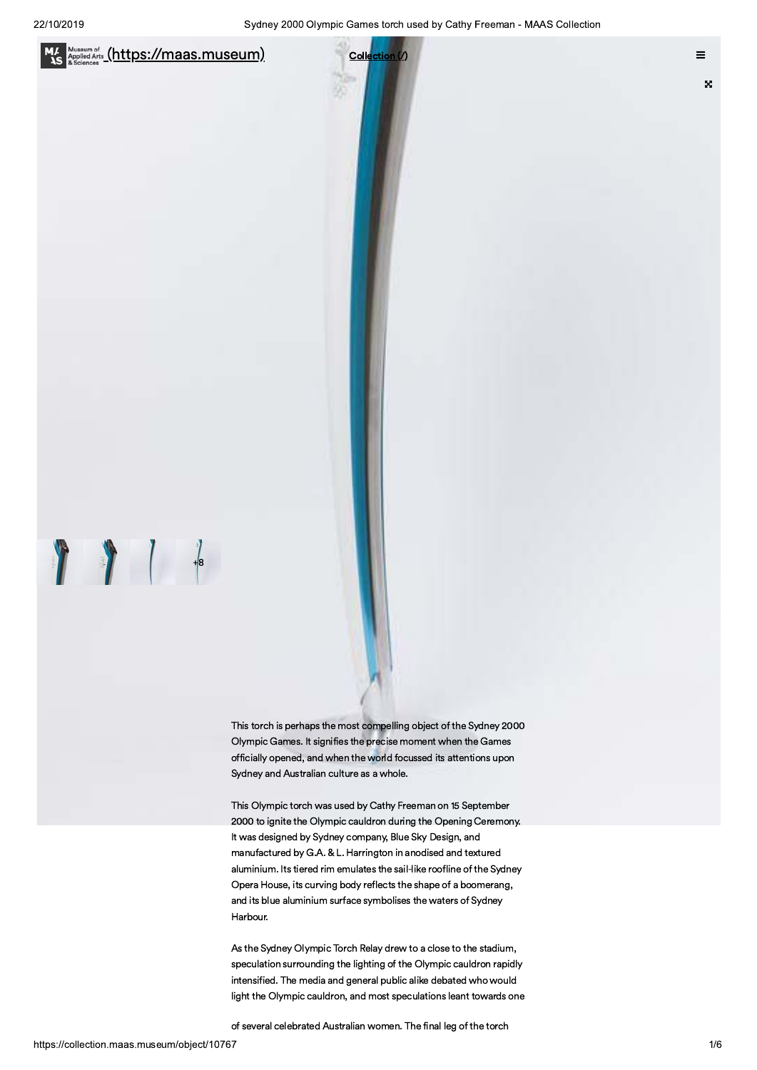

we are the most compelling object of the Sydney 20<br>
This torch is perhaps the most compelling object of the Sydney 20<br>
Olympic Games. It signifies the precise moment when the Games<br>
officially opened, and when the world fo For the Sydney 20<br>
This torch is perhaps the most compelling object of the Sydney 20<br>
Olympic Games. It signifies the precise moment when the Games<br>
officially opened, and when the world focussed its attentions upon<br>
Sydne This torch is perhaps the most compelling object of the Sydney 2000 Olympic Games. It signifies the precise moment when the Games officially opened, and when the world focussed its attentions upon Sydney and Australian culture as a whole.

 $U\subset\mathbb{R}^N$  and  $U\subset\mathbb{R}^N$  and  $U\subset\mathbb{R}^N$  and  $U\subset\mathbb{R}^N$ 

 $\mathcal{L}$  and  $\mathcal{L}$  and  $\mathcal{L}$  and  $\mathcal{L}$  and  $\mathcal{L}$  and  $\mathcal{L}$ 

OPQ@>HRSTUV>R@QWXYZ\_B?J@B^`a@b\_McLSd>V@QOPQ@>HRST

This Olympic torch was used by Cathy Freeman on 15 September 2000 to ignite the Olympic cauldron during the Opening Ceremony. It was designed by Sydney company, Blue Sky Design, and manufactured by G.A. & L. Harrington in anodised and textured aluminium. Its tiered rim emulates the sail-like roofline of the Sydney Opera House, its curving body reflects the shape of a boomerang, and its blue aluminium surface symbolises the waters of Sydney Harbour.

As the Sydney Olympic Torch Relay drew to a close to the stadium, speculation surrounding the lighting of the Olympic cauldron rapidly intensified. The media and general public alike debated who would light the Olympic cauldron, and most speculations leant towards one

of several celebrated Australian women. The final leg of the torch

 $\int$ 

e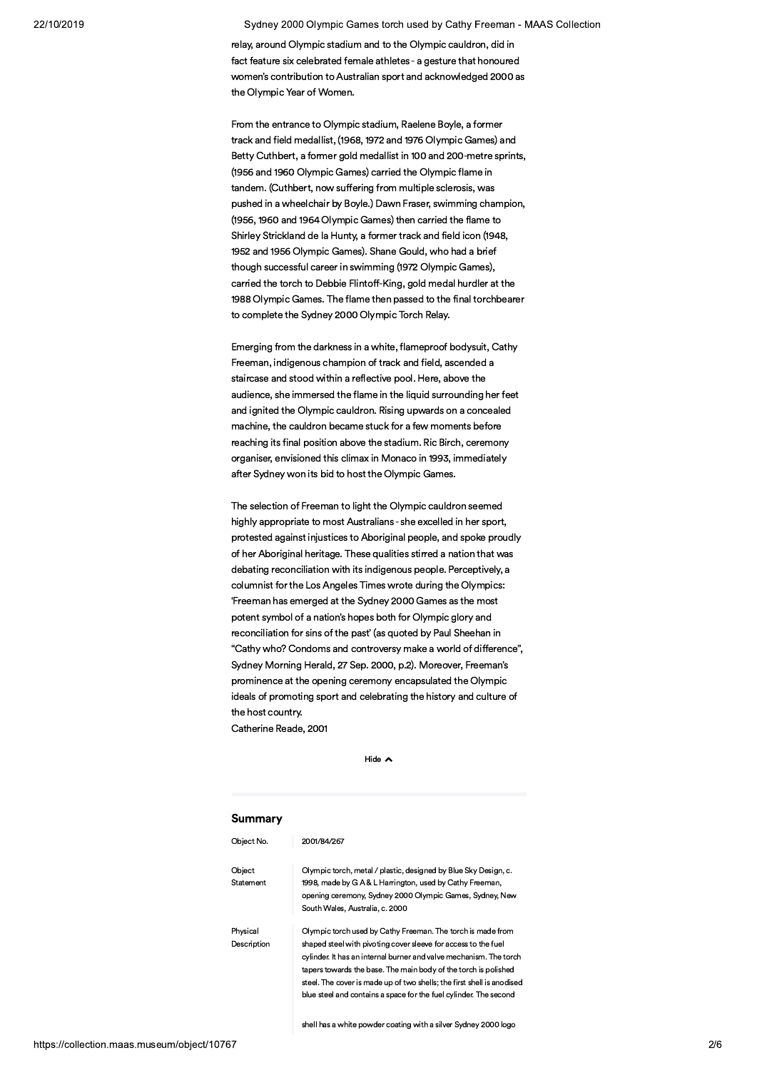2019 Sydney y 2000 Olympic Games torch used by Cathy Freeman - MAAS Collection

> relay, around Olympic stadium and to the Olympic cauldron, did in fact feature six celebrated female athletes - a gesture that honoured women's contribution to Australian sport and acknowledged 2000 as the Olympic Year of Women.

> From the entrance to Olympic stadium, Raelene Boyle, a former track and field medallist, (1968, 1972 and 1976 Olympic Games) and Betty Cuthbert, a former gold medallist in 100 and 200-metre sprints, (1956 and 1960 Olympic Games) carried the Olympic flame in tandem. (Cuthbert, now suffering from multiple sclerosis, was pushed in a wheelchair by Boyle.) Dawn Fraser, swimming champion, (1956, 1960 and 1964 Olympic Games) then carried the flame to Shirley Strickland de la Hunty, a former track and field icon (1948, 1952 and 1956 Olympic Games). Shane Gould, who had a brief though successful career in swimming (1972 Olympic Games), carried the torch to Debbie Flintoff-King, gold medal hurdler at the 1988 Olympic Games. The flame then passed to the final torchbearer to complete the Sydney 2000 Olympic Torch Relay.

Emerging from the darkness in a white, flameproof bodysuit, Cathy Freeman, indigenous champion of track and field, ascended a staircase and stood within a reflective pool. Here, above the audience, she immersed the flame in the liquid surrounding her feet and ignited the Olympic cauldron. Rising upwards on a concealed machine, the cauldron became stuck for a few moments before reaching its final position above the stadium. Ric Birch, ceremony organiser, envisioned this climax in Monaco in 1993, immediately after Sydney won its bid to host the Olympic Games.

The selection of Freeman to light the Olympic cauldron seemed highly appropriate to most Australians - she excelled in her sport, reaching its final position above the stadium. Ric Birch, ceremony<br>organiser, envisioned this climax in Monaco in 1993, immediately<br>after Sydney won its bid to host the Olympic Games.<br>The selection of Freeman to light the of her Aboriginal heritage. These qualities stirred a nation that was debating reconciliation with its indigenous people. Perceptively, a columnist for the Los Angeles Times wrote during the Olympics: 'Freeman has emerged at the Sydney 2000 Games as the most potent symbol of a nation's hopes both for Olympic glory and reconciliation for sins of the past' (as quoted by Paul Sheehan in "Cathy who? Condoms and controversy make a world of difference", Sydney Morning Herald, 27 Sep. 2000, p.2). Moreover, Freeman's prominence at the opening ceremony encapsulated the Olympic ideals of promoting sport and celebrating the history and culture of the host country. Catherine Reade, 2001

Hide  $\sim$ 

### Summary

| Summary                 |                                                                                                                                                                                                                                                                                                                                                                                                                       |
|-------------------------|-----------------------------------------------------------------------------------------------------------------------------------------------------------------------------------------------------------------------------------------------------------------------------------------------------------------------------------------------------------------------------------------------------------------------|
| Object No.              | 2001/84/267                                                                                                                                                                                                                                                                                                                                                                                                           |
| Object<br>Statement     | Olympic torch, metal / plastic, designed by Blue Sky Design, c.<br>1998, made by G A & L Harrington, used by Cathy Freeman,<br>opening ceremony, Sydney 2000 Olympic Games, Sydney, New<br>South Wales, Australia, c. 2000                                                                                                                                                                                            |
| Physical<br>Description | Olympic torch used by Cathy Freeman. The torch is made from<br>shaped steel with pivoting cover sleeve for access to the fuel<br>cylinder. It has an internal burner and valve mechanism. The torch<br>tapers towards the base. The main body of the torch is polished<br>steel. The cover is made up of two shells; the first shell is anodised<br>blue steel and contains a space for the fuel cylinder. The second |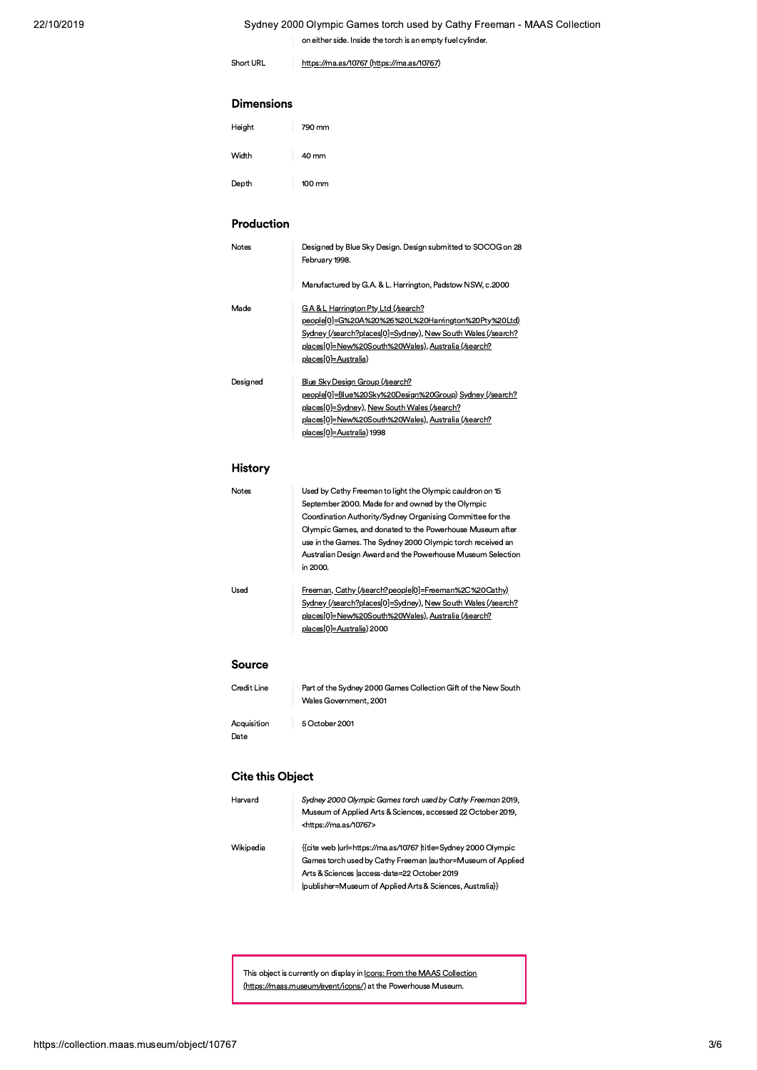# Sydney 2000 Olympic Games torch used by Cathy Freeman - MAAS Collection Sydney 2000 Olympic Games torch used by Cathy Freeman - MAAS<br>
on either side. Inside the torch is an empty fuel cylinder.<br>
Short URL<br>
https://ma.as/10767 (https://ma.as/10767)<br> **Dimensions**

9/9/9/10767/Short URL https://ma.as/10767/https://ma.as/10767

### **Dimensions**

| Height | 790 mm |
|--------|--------|
| Width  | 40 mm  |
| Depth  | 100 mm |

# Production

| Depth        | 100 mm                                                                                                                                                                                                                                                                                                                                                                              |
|--------------|-------------------------------------------------------------------------------------------------------------------------------------------------------------------------------------------------------------------------------------------------------------------------------------------------------------------------------------------------------------------------------------|
| Production   |                                                                                                                                                                                                                                                                                                                                                                                     |
| <b>Notes</b> | Designed by Blue Sky Design. Design submitted to SOCOG on 28<br>February 1998.                                                                                                                                                                                                                                                                                                      |
|              | Manufactured by G.A. & L. Harrington, Padstow NSW, c.2000                                                                                                                                                                                                                                                                                                                           |
| Made         | GA& L Harrington Pty Ltd (/search?<br>people[0]=G%20A%20%26%20L%20Harrington%20Pty%20Ltd)<br>Sydney (/search?places[0]=Sydney), New South Wales (/search?<br>places[0]=New%20South%20Wales), Australia (/search?<br>places[0]=Australia)                                                                                                                                            |
| Designed     | Blue Sky Design Group (/search?<br>people[0]=Blue%20Sky%20Design%20Group) Sydney (/search?<br>places[0]=Sydney), New South Wales (/search?<br>places[0]=New%20South%20Wales), Australia (/search?<br>places[0]=Australia) 1998                                                                                                                                                      |
| History      |                                                                                                                                                                                                                                                                                                                                                                                     |
| Notes        | Used by Cathy Freeman to light the Olympic cauldron on 15<br>September 2000. Made for and owned by the Olympic<br>Coordination Authority/Sydney Organising Committee for the<br>Olympic Games, and donated to the Powerhouse Museum after<br>use in the Games. The Sydney 2000 Olympic torch received an<br>Australian Design Award and the Powerhouse Museum Selection<br>in 2000. |
| Used         | Freeman, Cathy (/search?people[0]=Freeman%2C%20Cathy)<br>Sydney (/search?places[0]=Sydney), New South Wales (/search?<br>places[0]=New%20South%20Wales), Australia (/search?                                                                                                                                                                                                        |

Used by Cathy Freeman to light the Olympic cauldron on 15<br>
September 2000. Made for and owned by the Olympic<br>
Coordination Authority/Sydney Organising Committee for the<br>
Olympic Games, and donated to the Powerhouse Museum Notes<br>
Used by Cathy Freeman<br>
September 2000. Made<br>
Coordination Authority/S<br>
Olympic Games, and do<br>
use in the Games. The S<br>
Australian Design Award<br>
in 2000.<br>
Used<br>
Freeman, Cathy (/search<br>
Sydney.(/search?places[0]<br>
pla Coordination Authority/Sydney Organising Committee for the<br>
Olympic Games, and donated to the Powerhouse Museum after<br>
use in the Games. The Sydney 2000 Olympic torch received an<br>
Australian Design Award and the Powerhouse Olympic Games, and donated to the Powerhouse Museum after<br>
use in the Games. The Sydney 2000 Olympic torch received an<br>
Australian Design Award and the Powerhouse Museum Selection<br>
in 2000.<br>
<u>Freeman, Cathy (/search?people</u>

### Source

|                         | places[0]=New%20South%20Wales), Australia (/search?<br>places[0]=Australia) 2000         |
|-------------------------|------------------------------------------------------------------------------------------|
| Source                  |                                                                                          |
| Credit Line             | Part of the Sydney 2000 Games Collection Gift of the New South<br>Wales Government, 2001 |
| Acquisition<br>Date     | 5 October 2001                                                                           |
| <b>Cite this Object</b> |                                                                                          |
| Harvard                 | Sydney 2000 Olympic Games torch used by Cathy Freeman 2019,                              |

# **Cite this Object**

| Harvard   | Sydney 2000 Olympic Games torch used by Cathy Freeman 2019,                                                                                                                   |
|-----------|-------------------------------------------------------------------------------------------------------------------------------------------------------------------------------|
|           | Museum of Applied Arts & Sciences, accessed 22 October 2019,<br><https: 10767="" ma.as=""></https:>                                                                           |
| Wikipedia | {{cite web  url=https://ma.as/10767  title=Sydney 2000 Olympic<br>Games torch used by Cathy Freeman  author=Museum of Applied<br>Arts & Sciences laccess-date=22 October 2019 |
|           | (publisher=Museum of Applied Arts & Sciences, Australia}}                                                                                                                     |
|           |                                                                                                                                                                               |

This object is currently on display in <u>Icons: From the MAAS Collection</u><br>(https://maas.museum/event/icons/) at the Powerhouse Museum.<br>67 This object is currently on display in <u>Icons: From the MAAS Collectic (https://maas.museum/event/icons/)</u> at the Powerhouse Museum.<br><u>(https://maas.museum/event/icons/)</u> at the Powerhouse Museum.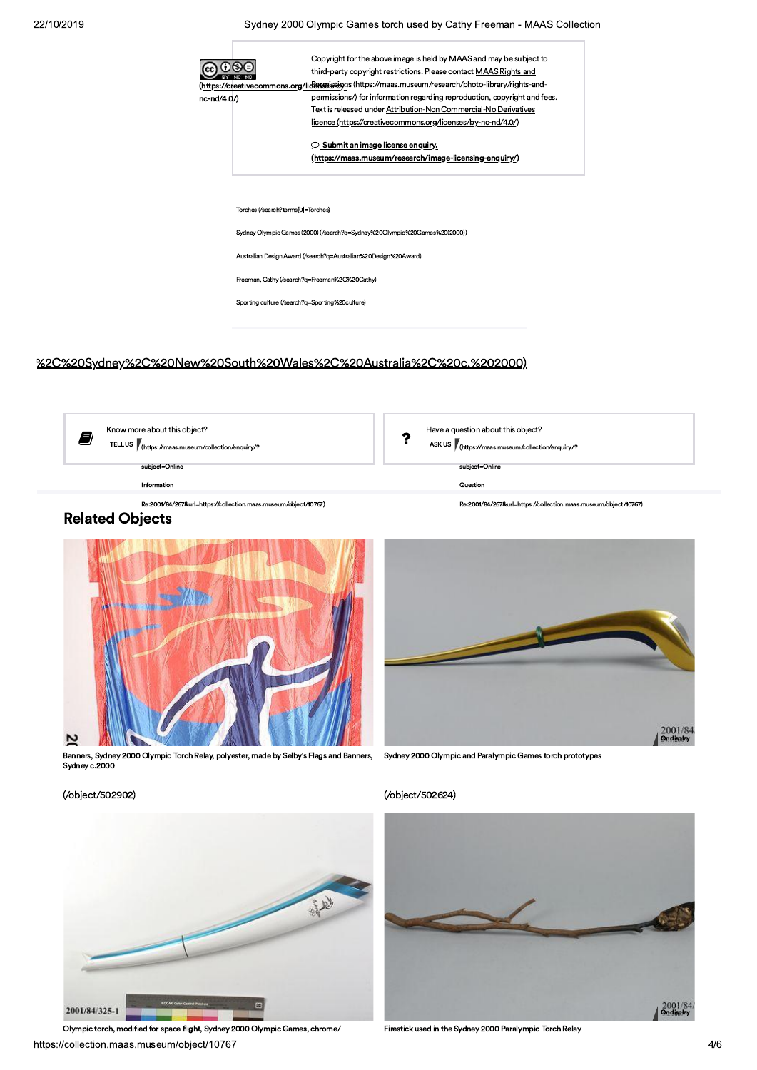Sydney 2000 Olympic Games torch used by Cathy Freeman - MAAS Collection



# %2C%20Sydney%2C%20New%20South%20Wales%2C%20Australia%2C%20c.%202000)



Have a question about this object?  $\overline{\mathbf{r}}$ 

ASK US *(https://maas.museum/collection/enquiry/?* 

subject=Online

Question

Re:2001/84/267&url=https://collection.maas.museum/obiect/10767)



Banners, Sydney 2000 Olympic Torch Relay, polyester, made by Selby's Flags and Banners, Sydney c.2000



Sydney 2000 Olympic and Paralympic Games torch prototypes

## (/object/502624)



Firestick used in the Sydney 2000 Paralympic Torch Relay

(/object/502902)



Olympic torch, modified for space flight, Sydney 2000 Olympic Games, chrome/ https://collection.maas.museum/object/10767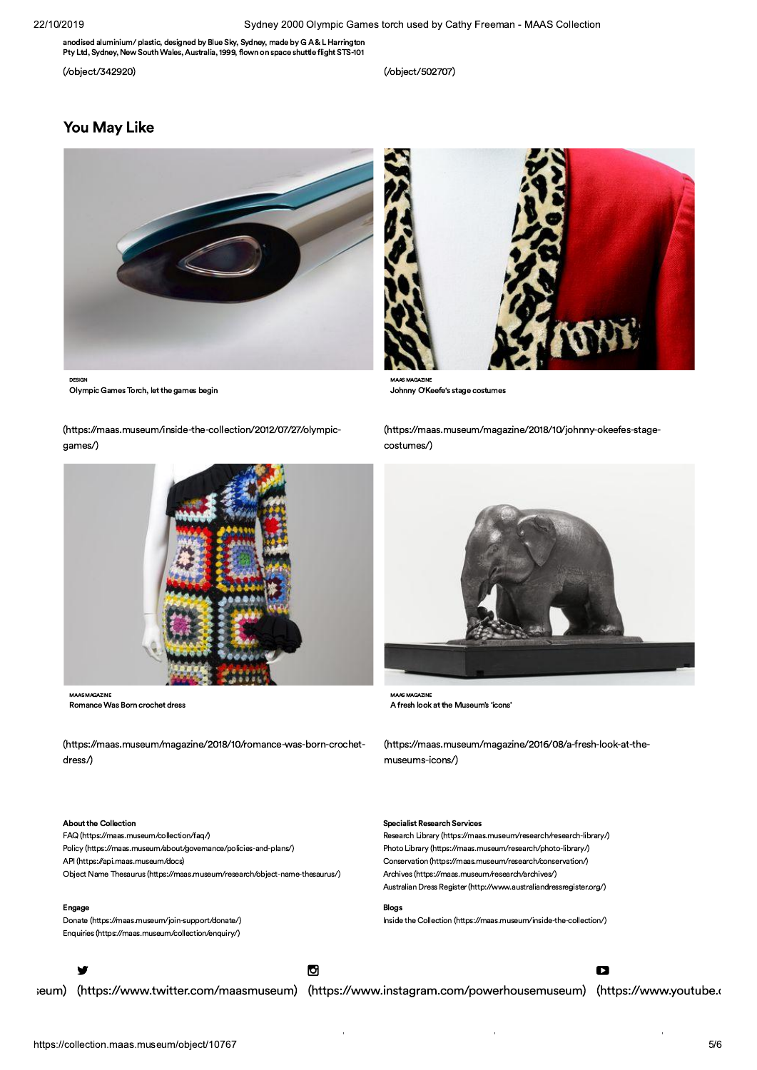anodised aluminium/ plastic, designed by Blue Sky, Sydney, made by G A & L Harrington Pty Ltd, Sydney, New South Wales, Australia, 1999, flown on space shuttle flight STS-101

(/object/342920)

(/object/502707)

# **You May Like**



Olympic Games Torch, let the games begin

(https://maas.museum/inside-the-collection/2012/07/27/olympicgames/)



**MAAS MAGAZINE** Romance Was Born crochet dress

(https://maas.museum/magazine/2018/10/romance-was-born-crochetdress/)

### About the Collection

FAQ (https://maas.museum/collection/faq/) Policy (https://maas.museum/about/governance/policies-and-plans/) API (https://api.maas.museum/docs) Object Name Thesaurus (https://maas.museum/research/object-name-thesaurus/)

### Engage

Donate (https://maas.museum/join-support/donate/) Enquiries (https://maas.museum/collection/enquiry/)



seum) (https://www.twitter.com/maasmuseum) (https://www.instagram.com/powerhousemuseum) (https://www.youtube.o

D



Johnny O'Keefe's stage costumes

MAAS MAGAZINE

(https://maas.museum/magazine/2018/10/johnny-okeefes-stagecostumes/)



**MAAS MAGAZINI** A fresh look at the Museum's 'icons'

(https://maas.museum/magazine/2016/08/a-fresh-look-at-themuseums-icons/)

### **Specialist Research Services**

Research Library (https://maas.museum/research/research-library/) Photo Library (https://maas.museum/research/photo-library/) Conservation (https://maas.museum/research/conservation/) Archives (https://maas.museum/research/archives/) Australian Dress Register (http://www.australiandressregister.org/)

### **Blogs**

O

Inside the Collection (https://maas.museum/inside-the-collection/)